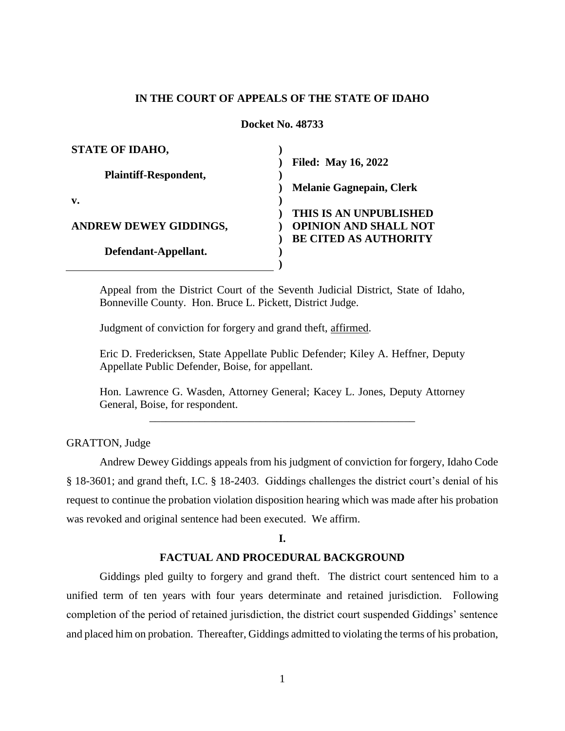# **IN THE COURT OF APPEALS OF THE STATE OF IDAHO**

**Docket No. 48733**

| <b>STATE OF IDAHO,</b>        |                                 |
|-------------------------------|---------------------------------|
|                               | <b>Filed: May 16, 2022</b>      |
| <b>Plaintiff-Respondent,</b>  |                                 |
|                               | <b>Melanie Gagnepain, Clerk</b> |
| v.                            |                                 |
|                               | THIS IS AN UNPUBLISHED          |
| <b>ANDREW DEWEY GIDDINGS,</b> | <b>OPINION AND SHALL NOT</b>    |
|                               | <b>BE CITED AS AUTHORITY</b>    |
| Defendant-Appellant.          |                                 |
|                               |                                 |

Appeal from the District Court of the Seventh Judicial District, State of Idaho, Bonneville County. Hon. Bruce L. Pickett, District Judge.

Judgment of conviction for forgery and grand theft, affirmed.

Eric D. Fredericksen, State Appellate Public Defender; Kiley A. Heffner, Deputy Appellate Public Defender, Boise, for appellant.

Hon. Lawrence G. Wasden, Attorney General; Kacey L. Jones, Deputy Attorney General, Boise, for respondent.

\_\_\_\_\_\_\_\_\_\_\_\_\_\_\_\_\_\_\_\_\_\_\_\_\_\_\_\_\_\_\_\_\_\_\_\_\_\_\_\_\_\_\_\_\_\_\_\_

GRATTON, Judge

Andrew Dewey Giddings appeals from his judgment of conviction for forgery, Idaho Code § 18-3601; and grand theft, I.C. § 18-2403. Giddings challenges the district court's denial of his request to continue the probation violation disposition hearing which was made after his probation was revoked and original sentence had been executed. We affirm.

#### **I.**

#### **FACTUAL AND PROCEDURAL BACKGROUND**

Giddings pled guilty to forgery and grand theft. The district court sentenced him to a unified term of ten years with four years determinate and retained jurisdiction. Following completion of the period of retained jurisdiction, the district court suspended Giddings' sentence and placed him on probation. Thereafter, Giddings admitted to violating the terms of his probation,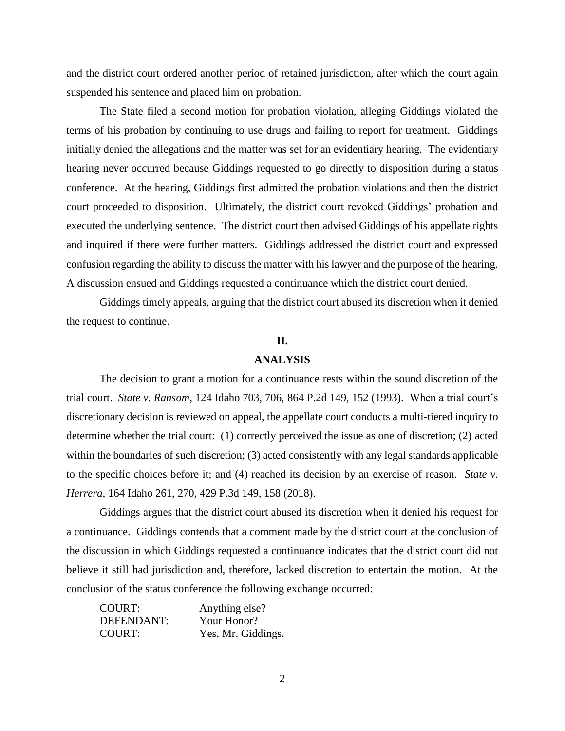and the district court ordered another period of retained jurisdiction, after which the court again suspended his sentence and placed him on probation.

The State filed a second motion for probation violation, alleging Giddings violated the terms of his probation by continuing to use drugs and failing to report for treatment. Giddings initially denied the allegations and the matter was set for an evidentiary hearing. The evidentiary hearing never occurred because Giddings requested to go directly to disposition during a status conference. At the hearing, Giddings first admitted the probation violations and then the district court proceeded to disposition. Ultimately, the district court revoked Giddings' probation and executed the underlying sentence. The district court then advised Giddings of his appellate rights and inquired if there were further matters. Giddings addressed the district court and expressed confusion regarding the ability to discuss the matter with his lawyer and the purpose of the hearing. A discussion ensued and Giddings requested a continuance which the district court denied.

Giddings timely appeals, arguing that the district court abused its discretion when it denied the request to continue.

# **II.**

#### **ANALYSIS**

The decision to grant a motion for a continuance rests within the sound discretion of the trial court. *State v. Ransom*, 124 Idaho 703, 706, 864 P.2d 149, 152 (1993). When a trial court's discretionary decision is reviewed on appeal, the appellate court conducts a multi-tiered inquiry to determine whether the trial court: (1) correctly perceived the issue as one of discretion; (2) acted within the boundaries of such discretion; (3) acted consistently with any legal standards applicable to the specific choices before it; and (4) reached its decision by an exercise of reason. *State v. Herrera*, 164 Idaho 261, 270, 429 P.3d 149, 158 (2018).

Giddings argues that the district court abused its discretion when it denied his request for a continuance. Giddings contends that a comment made by the district court at the conclusion of the discussion in which Giddings requested a continuance indicates that the district court did not believe it still had jurisdiction and, therefore, lacked discretion to entertain the motion. At the conclusion of the status conference the following exchange occurred:

| <b>COURT:</b> | Anything else?     |
|---------------|--------------------|
| DEFENDANT:    | Your Honor?        |
| <b>COURT:</b> | Yes, Mr. Giddings. |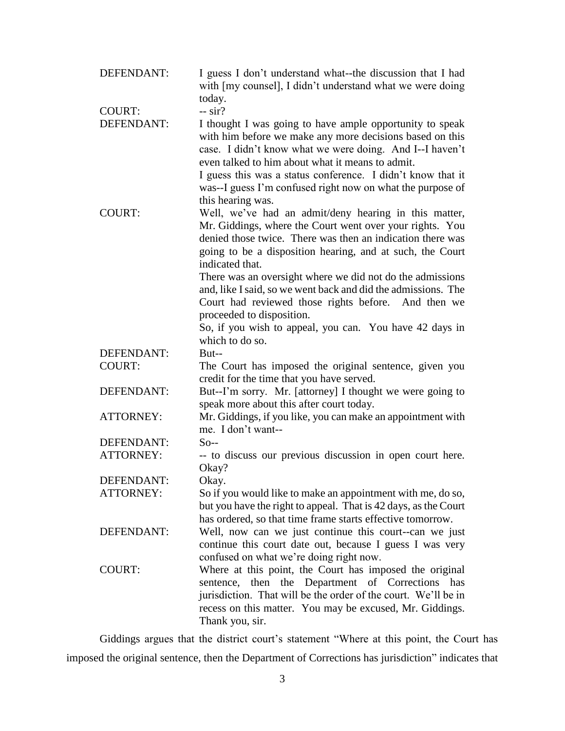| DEFENDANT:       | I guess I don't understand what--the discussion that I had<br>with [my counsel], I didn't understand what we were doing                                                                                                                                                                                                                                                                                                                                                                                                                                         |
|------------------|-----------------------------------------------------------------------------------------------------------------------------------------------------------------------------------------------------------------------------------------------------------------------------------------------------------------------------------------------------------------------------------------------------------------------------------------------------------------------------------------------------------------------------------------------------------------|
| <b>COURT:</b>    | today.<br>$-$ sir?                                                                                                                                                                                                                                                                                                                                                                                                                                                                                                                                              |
| DEFENDANT:       | I thought I was going to have ample opportunity to speak<br>with him before we make any more decisions based on this<br>case. I didn't know what we were doing. And I--I haven't<br>even talked to him about what it means to admit.<br>I guess this was a status conference. I didn't know that it<br>was--I guess I'm confused right now on what the purpose of<br>this hearing was.                                                                                                                                                                          |
| <b>COURT:</b>    | Well, we've had an admit/deny hearing in this matter,<br>Mr. Giddings, where the Court went over your rights. You<br>denied those twice. There was then an indication there was<br>going to be a disposition hearing, and at such, the Court<br>indicated that.<br>There was an oversight where we did not do the admissions<br>and, like I said, so we went back and did the admissions. The<br>Court had reviewed those rights before. And then we<br>proceeded to disposition.<br>So, if you wish to appeal, you can. You have 42 days in<br>which to do so. |
| DEFENDANT:       | But--                                                                                                                                                                                                                                                                                                                                                                                                                                                                                                                                                           |
| <b>COURT:</b>    | The Court has imposed the original sentence, given you<br>credit for the time that you have served.                                                                                                                                                                                                                                                                                                                                                                                                                                                             |
| DEFENDANT:       | But--I'm sorry. Mr. [attorney] I thought we were going to<br>speak more about this after court today.                                                                                                                                                                                                                                                                                                                                                                                                                                                           |
| <b>ATTORNEY:</b> | Mr. Giddings, if you like, you can make an appointment with<br>me. I don't want--                                                                                                                                                                                                                                                                                                                                                                                                                                                                               |
| DEFENDANT:       | $So-$                                                                                                                                                                                                                                                                                                                                                                                                                                                                                                                                                           |
| <b>ATTORNEY:</b> | -- to discuss our previous discussion in open court here.<br>Okay?                                                                                                                                                                                                                                                                                                                                                                                                                                                                                              |
| DEFENDANT:       | Okay.                                                                                                                                                                                                                                                                                                                                                                                                                                                                                                                                                           |
| <b>ATTORNEY:</b> | So if you would like to make an appointment with me, do so,<br>but you have the right to appeal. That is 42 days, as the Court<br>has ordered, so that time frame starts effective tomorrow.                                                                                                                                                                                                                                                                                                                                                                    |
| DEFENDANT:       | Well, now can we just continue this court--can we just<br>continue this court date out, because I guess I was very<br>confused on what we're doing right now.                                                                                                                                                                                                                                                                                                                                                                                                   |
| <b>COURT:</b>    | Where at this point, the Court has imposed the original<br>then the Department of Corrections<br>sentence,<br>has<br>jurisdiction. That will be the order of the court. We'll be in<br>recess on this matter. You may be excused, Mr. Giddings.<br>Thank you, sir.                                                                                                                                                                                                                                                                                              |

Giddings argues that the district court's statement "Where at this point, the Court has imposed the original sentence, then the Department of Corrections has jurisdiction" indicates that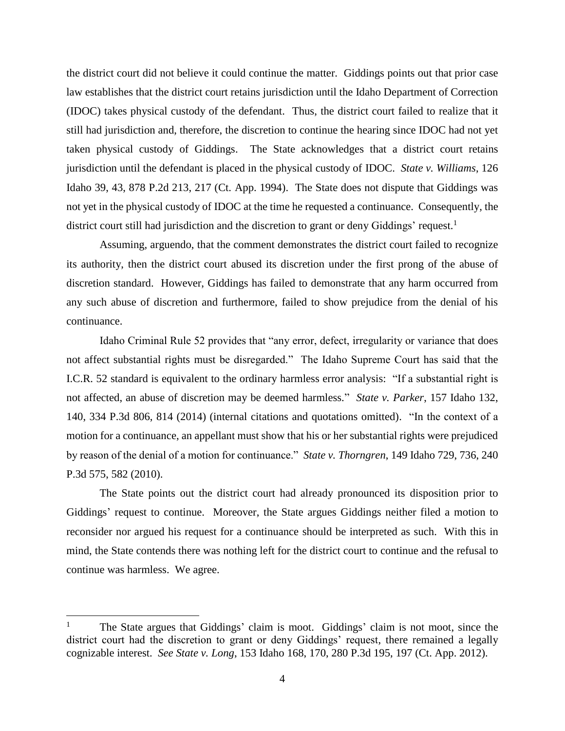the district court did not believe it could continue the matter. Giddings points out that prior case law establishes that the district court retains jurisdiction until the Idaho Department of Correction (IDOC) takes physical custody of the defendant. Thus, the district court failed to realize that it still had jurisdiction and, therefore, the discretion to continue the hearing since IDOC had not yet taken physical custody of Giddings. The State acknowledges that a district court retains jurisdiction until the defendant is placed in the physical custody of IDOC. *State v. Williams*, 126 Idaho 39, 43, 878 P.2d 213, 217 (Ct. App. 1994). The State does not dispute that Giddings was not yet in the physical custody of IDOC at the time he requested a continuance. Consequently, the district court still had jurisdiction and the discretion to grant or deny Giddings' request.<sup>1</sup>

Assuming, arguendo, that the comment demonstrates the district court failed to recognize its authority, then the district court abused its discretion under the first prong of the abuse of discretion standard. However, Giddings has failed to demonstrate that any harm occurred from any such abuse of discretion and furthermore, failed to show prejudice from the denial of his continuance.

Idaho Criminal Rule 52 provides that "any error, defect, irregularity or variance that does not affect substantial rights must be disregarded." The Idaho Supreme Court has said that the I.C.R. 52 standard is equivalent to the ordinary harmless error analysis: "If a substantial right is not affected, an abuse of discretion may be deemed harmless." *State v. Parker*, 157 Idaho 132, 140, 334 P.3d 806, 814 (2014) (internal citations and quotations omitted). "In the context of a motion for a continuance, an appellant must show that his or her substantial rights were prejudiced by reason of the denial of a motion for continuance." *State v. Thorngren*, 149 Idaho 729, 736, 240 P.3d 575, 582 (2010).

The State points out the district court had already pronounced its disposition prior to Giddings' request to continue. Moreover, the State argues Giddings neither filed a motion to reconsider nor argued his request for a continuance should be interpreted as such. With this in mind, the State contends there was nothing left for the district court to continue and the refusal to continue was harmless. We agree.

 $\overline{a}$ 

<sup>1</sup> The State argues that Giddings' claim is moot. Giddings' claim is not moot, since the district court had the discretion to grant or deny Giddings' request, there remained a legally cognizable interest. *See State v. Long*, 153 Idaho 168, 170, 280 P.3d 195, 197 (Ct. App. 2012).